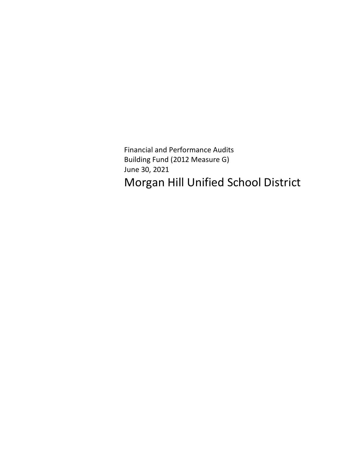Financial and Performance Audits Building Fund (2012 Measure G) June 30, 2021

Morgan Hill Unified School District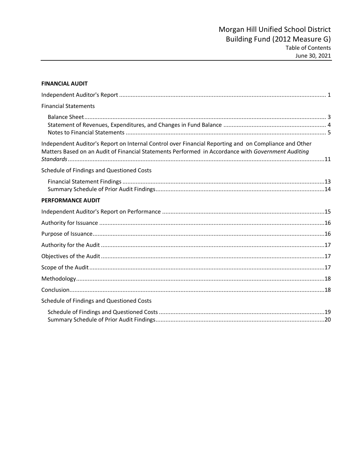# **FINANCIAL AUDIT**

| <b>Financial Statements</b>                                                                                                                                                                                 |
|-------------------------------------------------------------------------------------------------------------------------------------------------------------------------------------------------------------|
|                                                                                                                                                                                                             |
| Independent Auditor's Report on Internal Control over Financial Reporting and on Compliance and Other<br>Matters Based on an Audit of Financial Statements Performed in Accordance with Government Auditing |
| Schedule of Findings and Questioned Costs                                                                                                                                                                   |
|                                                                                                                                                                                                             |
| <b>PERFORMANCE AUDIT</b>                                                                                                                                                                                    |
|                                                                                                                                                                                                             |
|                                                                                                                                                                                                             |
|                                                                                                                                                                                                             |
|                                                                                                                                                                                                             |
|                                                                                                                                                                                                             |
|                                                                                                                                                                                                             |
|                                                                                                                                                                                                             |
|                                                                                                                                                                                                             |
| Schedule of Findings and Questioned Costs                                                                                                                                                                   |
|                                                                                                                                                                                                             |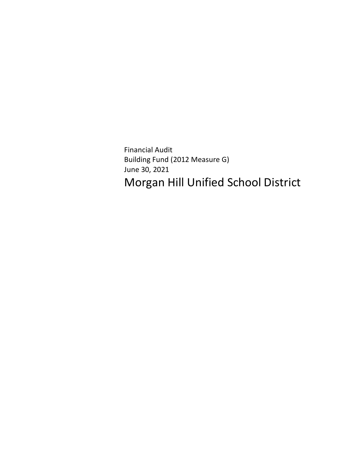<span id="page-2-0"></span>Financial Audit Building Fund (2012 Measure G) June 30, 2021

Morgan Hill Unified School District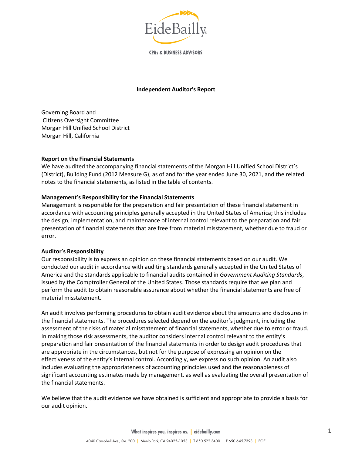

**CPAs & BUSINESS ADVISORS** 

### **Independent Auditor's Report**

<span id="page-3-0"></span>Governing Board and Citizens Oversight Committee Morgan Hill Unified School District Morgan Hill, California

#### **Report on the Financial Statements**

We have audited the accompanying financial statements of the Morgan Hill Unified School District's (District), Building Fund (2012 Measure G), as of and for the year ended June 30, 2021, and the related notes to the financial statements, as listed in the table of contents.

### **Management's Responsibility for the Financial Statements**

Management is responsible for the preparation and fair presentation of these financial statement in accordance with accounting principles generally accepted in the United States of America; this includes the design, implementation, and maintenance of internal control relevant to the preparation and fair presentation of financial statements that are free from material misstatement, whether due to fraud or error.

#### **Auditor's Responsibility**

Our responsibility is to express an opinion on these financial statements based on our audit. We conducted our audit in accordance with auditing standards generally accepted in the United States of America and the standards applicable to financial audits contained in *Government Auditing Standards*, issued by the Comptroller General of the United States. Those standards require that we plan and perform the audit to obtain reasonable assurance about whether the financial statements are free of material misstatement.

An audit involves performing procedures to obtain audit evidence about the amounts and disclosures in the financial statements. The procedures selected depend on the auditor's judgment, including the assessment of the risks of material misstatement of financial statements, whether due to error or fraud. In making those risk assessments, the auditor considers internal control relevant to the entity's preparation and fair presentation of the financial statements in order to design audit procedures that are appropriate in the circumstances, but not for the purpose of expressing an opinion on the effectiveness of the entity's internal control. Accordingly, we express no such opinion. An audit also includes evaluating the appropriateness of accounting principles used and the reasonableness of significant accounting estimates made by management, as well as evaluating the overall presentation of the financial statements.

We believe that the audit evidence we have obtained is sufficient and appropriate to provide a basis for our audit opinion.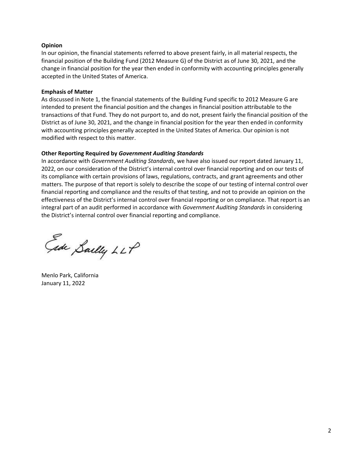### **Opinion**

In our opinion, the financial statements referred to above present fairly, in all material respects, the financial position of the Building Fund (2012 Measure G) of the District as of June 30, 2021, and the change in financial position for the year then ended in conformity with accounting principles generally accepted in the United States of America.

#### **Emphasis of Matter**

As discussed in Note 1, the financial statements of the Building Fund specific to 2012 Measure G are intended to present the financial position and the changes in financial position attributable to the transactions of that Fund. They do not purport to, and do not, present fairly the financial position of the District as of June 30, 2021, and the change in financial position for the year then ended in conformity with accounting principles generally accepted in the United States of America. Our opinion is not modified with respect to this matter.

### **Other Reporting Required by** *Government Auditing Standards*

In accordance with *Government Auditing Standards*, we have also issued our report dated January 11, 2022, on our consideration of the District's internal control over financial reporting and on our tests of its compliance with certain provisions of laws, regulations, contracts, and grant agreements and other matters. The purpose of that report is solely to describe the scope of our testing of internal control over financial reporting and compliance and the results of that testing, and not to provide an opinion on the effectiveness of the District's internal control over financial reporting or on compliance. That report is an integral part of an audit performed in accordance with *Government Auditing Standards* in considering the District's internal control over financial reporting and compliance.

Gide Sailly LLP

Menlo Park, California January 11, 2022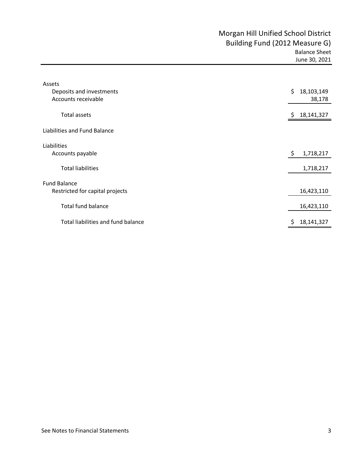# Morgan Hill Unified School District Building Fund (2012 Measure G) Balance Sheet

June 30, 2021

<span id="page-5-1"></span><span id="page-5-0"></span>

| Assets<br>Deposits and investments<br>Accounts receivable | \$ | 18,103,149<br>38,178 |
|-----------------------------------------------------------|----|----------------------|
| Total assets                                              | \$ | 18, 141, 327         |
| Liabilities and Fund Balance                              |    |                      |
| Liabilities                                               |    |                      |
| Accounts payable                                          | \$ | 1,718,217            |
| <b>Total liabilities</b>                                  |    | 1,718,217            |
| <b>Fund Balance</b>                                       |    |                      |
| Restricted for capital projects                           |    | 16,423,110           |
| <b>Total fund balance</b>                                 |    | 16,423,110           |
| Total liabilities and fund balance                        | Ş  | 18,141,327           |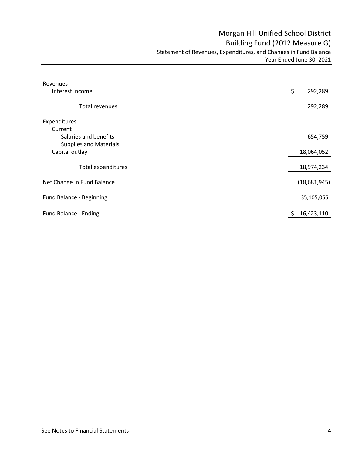<span id="page-6-0"></span>

| Revenues<br>Interest income                            | \$<br>292,289 |
|--------------------------------------------------------|---------------|
| Total revenues                                         | 292,289       |
| Expenditures<br>Current                                |               |
| Salaries and benefits<br><b>Supplies and Materials</b> | 654,759       |
| Capital outlay                                         | 18,064,052    |
| <b>Total expenditures</b>                              | 18,974,234    |
| Net Change in Fund Balance                             | (18,681,945)  |
| Fund Balance - Beginning                               | 35,105,055    |
| Fund Balance - Ending                                  | 16,423,110    |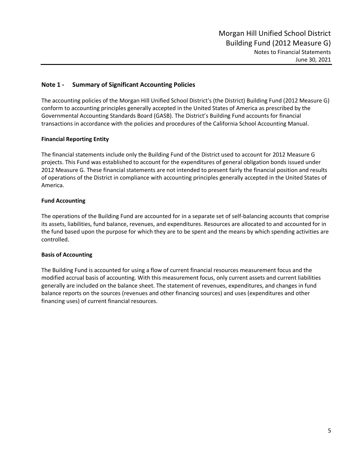# <span id="page-7-0"></span>**Note 1 - Summary of Significant Accounting Policies**

The accounting policies of the Morgan Hill Unified School District's (the District) Building Fund (2012 Measure G) conform to accounting principles generally accepted in the United States of America as prescribed by the Governmental Accounting Standards Board (GASB). The District's Building Fund accounts for financial transactions in accordance with the policies and procedures of the California School Accounting Manual.

# **Financial Reporting Entity**

The financial statements include only the Building Fund of the District used to account for 2012 Measure G projects. This Fund was established to account for the expenditures of general obligation bonds issued under 2012 Measure G. These financial statements are not intended to present fairly the financial position and results of operations of the District in compliance with accounting principles generally accepted in the United States of America.

# **Fund Accounting**

The operations of the Building Fund are accounted for in a separate set of self-balancing accounts that comprise its assets, liabilities, fund balance, revenues, and expenditures. Resources are allocated to and accounted for in the fund based upon the purpose for which they are to be spent and the means by which spending activities are controlled.

### **Basis of Accounting**

The Building Fund is accounted for using a flow of current financial resources measurement focus and the modified accrual basis of accounting. With this measurement focus, only current assets and current liabilities generally are included on the balance sheet. The statement of revenues, expenditures, and changes in fund balance reports on the sources (revenues and other financing sources) and uses (expenditures and other financing uses) of current financial resources.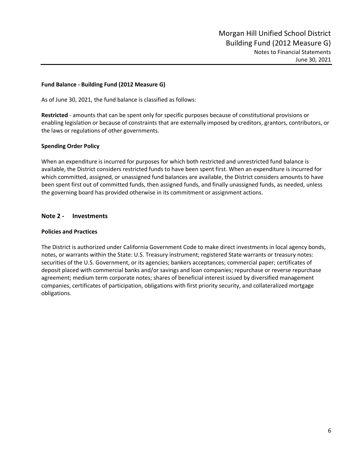### **Fund Balance - Building Fund (2012 Measure G)**

As of June 30, 2021, the fund balance is classified as follows:

**Restricted** - amounts that can be spent only for specific purposes because of constitutional provisions or enabling legislation or because of constraints that are externally imposed by creditors, grantors, contributors, or the laws or regulations of other governments.

### **Spending Order Policy**

When an expenditure is incurred for purposes for which both restricted and unrestricted fund balance is available, the District considers restricted funds to have been spent first. When an expenditure is incurred for which committed, assigned, or unassigned fund balances are available, the District considers amounts to have been spent first out of committed funds, then assigned funds, and finally unassigned funds, as needed, unless the governing board has provided otherwise in its commitment or assignment actions.

### **Note 2 - Investments**

### **Policies and Practices**

The District is authorized under California Government Code to make direct investments in local agency bonds, notes, or warrants within the State: U.S. Treasury instrument; registered State warrants or treasury notes: securities of the U.S. Government, or its agencies; bankers acceptances; commercial paper; certificates of deposit placed with commercial banks and/or savings and loan companies; repurchase or reverse repurchase agreement; medium term corporate notes; shares of beneficial interest issued by diversified management companies, certificates of participation, obligations with first priority security, and collateralized mortgage obligations.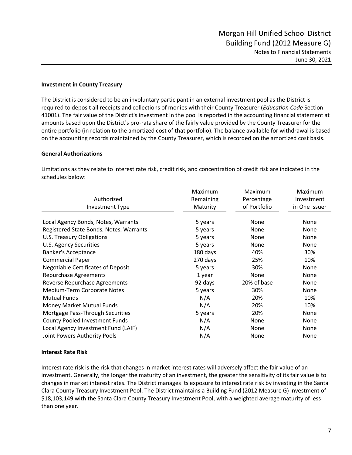### **Investment in County Treasury**

The District is considered to be an involuntary participant in an external investment pool as the District is required to deposit all receipts and collections of monies with their County Treasurer (*Education Code* Section 41001). The fair value of the District's investment in the pool is reported in the accounting financial statement at amounts based upon the District's pro-rata share of the fairly value provided by the County Treasurer for the entire portfolio (in relation to the amortized cost of that portfolio). The balance available for withdrawal is based on the accounting records maintained by the County Treasurer, which is recorded on the amortized cost basis.

### **General Authorizations**

Limitations as they relate to interest rate risk, credit risk, and concentration of credit risk are indicated in the schedules below:

|                                           | Maximum   | Maximum      | Maximum       |
|-------------------------------------------|-----------|--------------|---------------|
| Authorized                                | Remaining | Percentage   | Investment    |
| <b>Investment Type</b>                    | Maturity  | of Portfolio | in One Issuer |
|                                           |           |              |               |
| Local Agency Bonds, Notes, Warrants       | 5 years   | None         | None          |
| Registered State Bonds, Notes, Warrants   | 5 years   | None         | None          |
| U.S. Treasury Obligations                 | 5 years   | None         | None          |
| <b>U.S. Agency Securities</b>             | 5 years   | None         | None          |
| <b>Banker's Acceptance</b>                | 180 days  | 40%          | 30%           |
| <b>Commercial Paper</b>                   | 270 days  | 25%          | 10%           |
| <b>Negotiable Certificates of Deposit</b> | 5 years   | 30%          | None          |
| <b>Repurchase Agreements</b>              | 1 year    | None         | None          |
| Reverse Repurchase Agreements             | 92 days   | 20% of base  | None          |
| Medium-Term Corporate Notes               | 5 years   | 30%          | None          |
| <b>Mutual Funds</b>                       | N/A       | 20%          | 10%           |
| Money Market Mutual Funds                 | N/A       | 20%          | 10%           |
| Mortgage Pass-Through Securities          | 5 years   | 20%          | None          |
| <b>County Pooled Investment Funds</b>     | N/A       | None         | None          |
| Local Agency Investment Fund (LAIF)       | N/A       | None         | None          |
| Joint Powers Authority Pools              | N/A       | None         | None          |
|                                           |           |              |               |

### **Interest Rate Risk**

Interest rate risk is the risk that changes in market interest rates will adversely affect the fair value of an investment. Generally, the longer the maturity of an investment, the greater the sensitivity of its fair value is to changes in market interest rates. The District manages its exposure to interest rate risk by investing in the Santa Clara County Treasury Investment Pool. The District maintains a Building Fund (2012 Measure G) investment of \$18,103,149 with the Santa Clara County Treasury Investment Pool, with a weighted average maturity of less than one year.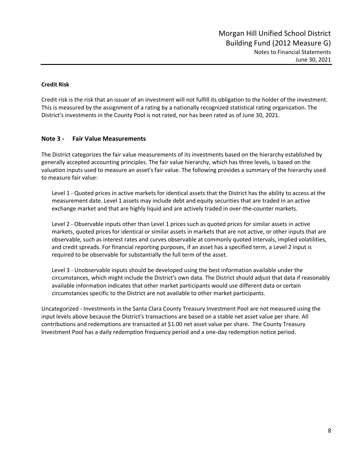# **Credit Risk**

Credit risk is the risk that an issuer of an investment will not fulfill its obligation to the holder of the investment. This is measured by the assignment of a rating by a nationally recognized statistical rating organization. The District's investments in the County Pool is not rated, nor has been rated as of June 30, 2021.

# **Note 3 - Fair Value Measurements**

The District categorizes the fair value measurements of its investments based on the hierarchy established by generally accepted accounting principles. The fair value hierarchy, which has three levels, is based on the valuation inputs used to measure an asset's fair value. The following provides a summary of the hierarchy used to measure fair value:

Level 1 - Quoted prices in active markets for identical assets that the District has the ability to access at the measurement date. Level 1 assets may include debt and equity securities that are traded in an active exchange market and that are highly liquid and are actively traded in over-the-counter markets.

Level 2 - Observable inputs other than Level 1 prices such as quoted prices for similar assets in active markets, quoted prices for identical or similar assets in markets that are not active, or other inputs that are observable, such as interest rates and curves observable at commonly quoted intervals, implied volatilities, and credit spreads. For financial reporting purposes, if an asset has a specified term, a Level 2 input is required to be observable for substantially the full term of the asset.

Level 3 - Unobservable inputs should be developed using the best information available under the circumstances, which might include the District's own data. The District should adjust that data if reasonably available information indicates that other market participants would use different data or certain circumstances specific to the District are not available to other market participants.

Uncategorized - Investments in the Santa Clara County Treasury Investment Pool are not measured using the input levels above because the District's transactions are based on a stable net asset value per share. All contributions and redemptions are transacted at \$1.00 net asset value per share. The County Treasury Investment Pool has a daily redemption frequency period and a one-day redemption notice period.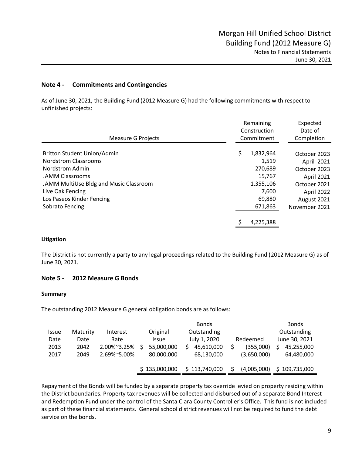# **Note 4 - Commitments and Contingencies**

As of June 30, 2021, the Building Fund (2012 Measure G) had the following commitments with respect to unfinished projects:

| <b>Measure G Projects</b>                                                                                                                                                                                                    | Remaining<br>Construction<br>Commitment                                                               | Expected<br>Date of<br>Completion                                                                                      |
|------------------------------------------------------------------------------------------------------------------------------------------------------------------------------------------------------------------------------|-------------------------------------------------------------------------------------------------------|------------------------------------------------------------------------------------------------------------------------|
| <b>Britton Student Union/Admin</b><br><b>Nordstrom Classrooms</b><br>Nordstrom Admin<br><b>JAMM Classrooms</b><br>JAMM MultiUse Bldg and Music Classroom<br>Live Oak Fencing<br>Los Paseos Kinder Fencing<br>Sobrato Fencing | \$<br>1,832,964<br>1,519<br>270,689<br>15,767<br>1,355,106<br>7,600<br>69,880<br>671,863<br>4,225,388 | October 2023<br>April 2021<br>October 2023<br>April 2021<br>October 2021<br>April 2022<br>August 2021<br>November 2021 |

#### **Litigation**

The District is not currently a party to any legal proceedings related to the Building Fund (2012 Measure G) as of June 30, 2021.

### **Note 5 - 2012 Measure G Bonds**

#### **Summary**

The outstanding 2012 Measure G general obligation bonds are as follows:

|       |          |             |               | <b>Bonds</b>  |             | <b>Bonds</b>  |
|-------|----------|-------------|---------------|---------------|-------------|---------------|
| Issue | Maturity | Interest    | Original      | Outstanding   |             | Outstanding   |
| Date  | Date     | Rate        | <b>Issue</b>  | July 1, 2020  | Redeemed    | June 30, 2021 |
| 2013  | 2042     | 2.00%~3.25% | 55,000,000    | 45,610,000    | (355,000)   | 45,255,000    |
| 2017  | 2049     | 2.69%~5.00% | 80,000,000    | 68,130,000    | (3,650,000) | 64,480,000    |
|       |          |             |               |               |             |               |
|       |          |             | \$135,000,000 | \$113,740,000 | (4,005,000) | \$109,735,000 |

Repayment of the Bonds will be funded by a separate property tax override levied on property residing within the District boundaries. Property tax revenues will be collected and disbursed out of a separate Bond Interest and Redemption Fund under the control of the Santa Clara County Controller's Office. This fund is not included as part of these financial statements. General school district revenues will not be required to fund the debt service on the bonds.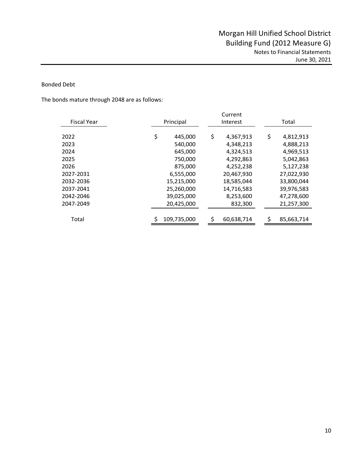# Bonded Debt

The bonds mature through 2048 are as follows:

| <b>Fiscal Year</b> |    | Principal   |    | Current<br>Interest |  |    | Total      |
|--------------------|----|-------------|----|---------------------|--|----|------------|
|                    |    |             |    |                     |  |    |            |
| 2022               | \$ | 445,000     | \$ | 4,367,913           |  | \$ | 4,812,913  |
| 2023               |    | 540,000     |    | 4,348,213           |  |    | 4,888,213  |
| 2024               |    | 645.000     |    | 4,324,513           |  |    | 4,969,513  |
| 2025               |    | 750,000     |    | 4,292,863           |  |    | 5,042,863  |
| 2026               |    | 875,000     |    | 4,252,238           |  |    | 5,127,238  |
| 2027-2031          |    | 6,555,000   |    | 20,467,930          |  |    | 27,022,930 |
| 2032-2036          |    | 15,215,000  |    | 18,585,044          |  |    | 33,800,044 |
| 2037-2041          |    | 25,260,000  |    | 14,716,583          |  |    | 39,976,583 |
| 2042-2046          |    | 39,025,000  |    | 8,253,600           |  |    | 47,278,600 |
| 2047-2049          |    | 20,425,000  |    | 832,300             |  |    | 21,257,300 |
|                    |    |             |    |                     |  |    |            |
| Total              | ς  | 109,735,000 | ¢  | 60,638,714          |  | \$ | 85,663,714 |
|                    |    |             |    |                     |  |    |            |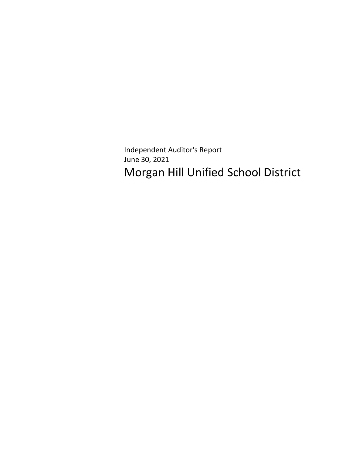Independent Auditor's Report June 30, 2021 Morgan Hill Unified School District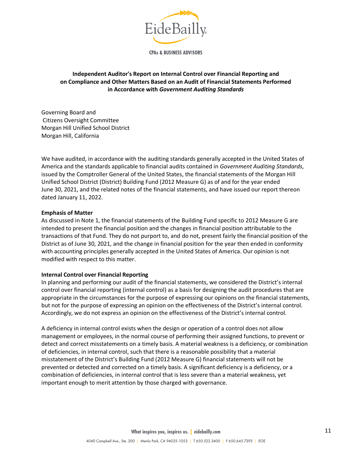

**CPAs & BUSINESS ADVISORS** 

# <span id="page-14-0"></span>**Independent Auditor's Report on Internal Control over Financial Reporting and on Compliance and Other Matters Based on an Audit of Financial Statements Performed in Accordance with** *Government Auditing Standards*

Governing Board and Citizens Oversight Committee Morgan Hill Unified School District Morgan Hill, California

We have audited, in accordance with the auditing standards generally accepted in the United States of America and the standards applicable to financial audits contained in *Government Auditing Standards*, issued by the Comptroller General of the United States, the financial statements of the Morgan Hill Unified School District (District) Building Fund (2012 Measure G) as of and for the year ended June 30, 2021, and the related notes of the financial statements, and have issued our report thereon dated January 11, 2022.

### **Emphasis of Matter**

As discussed in Note 1, the financial statements of the Building Fund specific to 2012 Measure G are intended to present the financial position and the changes in financial position attributable to the transactions of that Fund. They do not purport to, and do not, present fairly the financial position of the District as of June 30, 2021, and the change in financial position for the year then ended in conformity with accounting principles generally accepted in the United States of America. Our opinion is not modified with respect to this matter.

#### **Internal Control over Financial Reporting**

In planning and performing our audit of the financial statements, we considered the District's internal control over financial reporting (internal control) as a basis for designing the audit procedures that are appropriate in the circumstances for the purpose of expressing our opinions on the financial statements, but not for the purpose of expressing an opinion on the effectiveness of the District's internal control. Accordingly, we do not express an opinion on the effectiveness of the District's internal control.

A deficiency in internal control exists when the design or operation of a control does not allow management or employees, in the normal course of performing their assigned functions, to prevent or detect and correct misstatements on a timely basis. A material weakness is a deficiency, or combination of deficiencies, in internal control, such that there is a reasonable possibility that a material misstatement of the District's Building Fund (2012 Measure G) financial statements will not be prevented or detected and corrected on a timely basis. A significant deficiency is a deficiency, or a combination of deficiencies, in internal control that is less severe than a material weakness, yet important enough to merit attention by those charged with governance.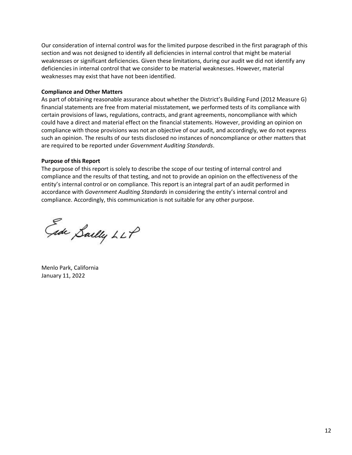Our consideration of internal control was for the limited purpose described in the first paragraph of this section and was not designed to identify all deficiencies in internal control that might be material weaknesses or significant deficiencies. Given these limitations, during our audit we did not identify any deficiencies in internal control that we consider to be material weaknesses. However, material weaknesses may exist that have not been identified.

# **Compliance and Other Matters**

As part of obtaining reasonable assurance about whether the District's Building Fund (2012 Measure G) financial statements are free from material misstatement, we performed tests of its compliance with certain provisions of laws, regulations, contracts, and grant agreements, noncompliance with which could have a direct and material effect on the financial statements. However, providing an opinion on compliance with those provisions was not an objective of our audit, and accordingly, we do not express such an opinion. The results of our tests disclosed no instances of noncompliance or other matters that are required to be reported under *Government Auditing Standards*.

# **Purpose of this Report**

The purpose of this report is solely to describe the scope of our testing of internal control and compliance and the results of that testing, and not to provide an opinion on the effectiveness of the entity's internal control or on compliance. This report is an integral part of an audit performed in accordance with *Government Auditing Standards* in considering the entity's internal control and compliance. Accordingly, this communication is not suitable for any other purpose.

Gide Sailly LLP

Menlo Park, California January 11, 2022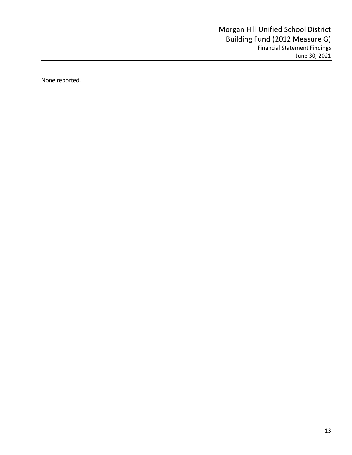<span id="page-16-1"></span><span id="page-16-0"></span>None reported.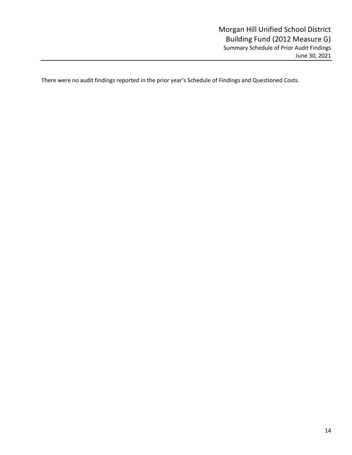<span id="page-17-0"></span>There were no audit findings reported in the prior year's Schedule of Findings and Questioned Costs.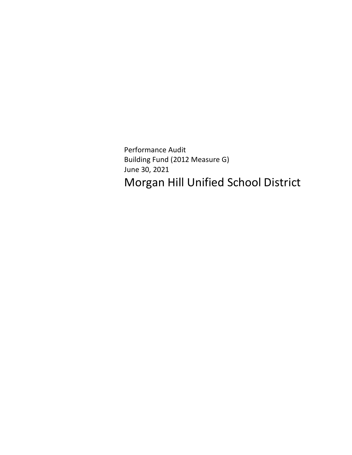<span id="page-18-0"></span>Performance Audit Building Fund (2012 Measure G) June 30, 2021

Morgan Hill Unified School District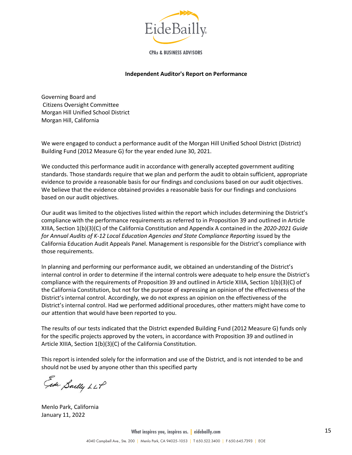

**CPAs & BUSINESS ADVISORS** 

### **Independent Auditor's Report on Performance**

<span id="page-19-0"></span>Governing Board and Citizens Oversight Committee Morgan Hill Unified School District Morgan Hill, California

We were engaged to conduct a performance audit of the Morgan Hill Unified School District (District) Building Fund (2012 Measure G) for the year ended June 30, 2021.

We conducted this performance audit in accordance with generally accepted government auditing standards. Those standards require that we plan and perform the audit to obtain sufficient, appropriate evidence to provide a reasonable basis for our findings and conclusions based on our audit objectives. We believe that the evidence obtained provides a reasonable basis for our findings and conclusions based on our audit objectives.

Our audit was limited to the objectives listed within the report which includes determining the District's compliance with the performance requirements as referred to in Proposition 39 and outlined in Article XIIIA, Section 1(b)(3)(C) of the California Constitution and Appendix A contained in the *2020-2021 Guide for Annual Audits of K‐12 Local Education Agencies and State Compliance Reporting* issued by the California Education Audit Appeals Panel. Management is responsible for the District's compliance with those requirements.

In planning and performing our performance audit, we obtained an understanding of the District's internal control in order to determine if the internal controls were adequate to help ensure the District's compliance with the requirements of Proposition 39 and outlined in Article XIIIA, Section 1(b)(3)(C) of the California Constitution, but not for the purpose of expressing an opinion of the effectiveness of the District's internal control. Accordingly, we do not express an opinion on the effectiveness of the District's internal control. Had we performed additional procedures, other matters might have come to our attention that would have been reported to you.

The results of our tests indicated that the District expended Building Fund (2012 Measure G) funds only for the specific projects approved by the voters, in accordance with Proposition 39 and outlined in Article XIIIA, Section 1(b)(3)(C) of the California Constitution.

This report is intended solely for the information and use of the District, and is not intended to be and should not be used by anyone other than this specified party

Gide Sailly LLP

Menlo Park, California January 11, 2022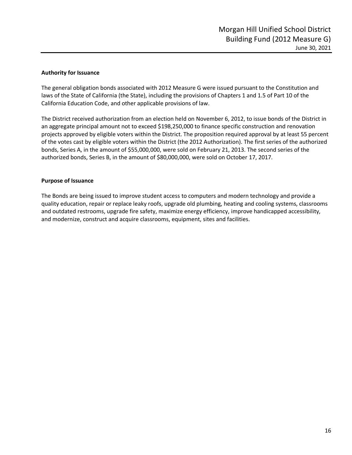# <span id="page-20-0"></span>**Authority for Issuance**

The general obligation bonds associated with 2012 Measure G were issued pursuant to the Constitution and laws of the State of California (the State), including the provisions of Chapters 1 and 1.5 of Part 10 of the California Education Code, and other applicable provisions of law.

The District received authorization from an election held on November 6, 2012, to issue bonds of the District in an aggregate principal amount not to exceed \$198,250,000 to finance specific construction and renovation projects approved by eligible voters within the District. The proposition required approval by at least 55 percent of the votes cast by eligible voters within the District (the 2012 Authorization). The first series of the authorized bonds, Series A, in the amount of \$55,000,000, were sold on February 21, 2013. The second series of the authorized bonds, Series B, in the amount of \$80,000,000, were sold on October 17, 2017.

# <span id="page-20-1"></span>**Purpose of Issuance**

The Bonds are being issued to improve student access to computers and modern technology and provide a quality education, repair or replace leaky roofs, upgrade old plumbing, heating and cooling systems, classrooms and outdated restrooms, upgrade fire safety, maximize energy efficiency, improve handicapped accessibility, and modernize, construct and acquire classrooms, equipment, sites and facilities.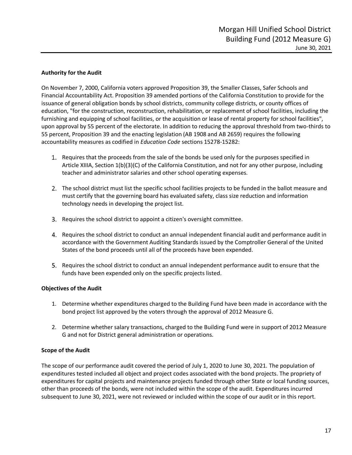# <span id="page-21-0"></span>**Authority for the Audit**

On November 7, 2000, California voters approved Proposition 39, the Smaller Classes, Safer Schools and Financial Accountability Act. Proposition 39 amended portions of the California Constitution to provide for the issuance of general obligation bonds by school districts, community college districts, or county offices of education, "for the construction, reconstruction, rehabilitation, or replacement of school facilities, including the furnishing and equipping of school facilities, or the acquisition or lease of rental property for school facilities", upon approval by 55 percent of the electorate. In addition to reducing the approval threshold from two-thirds to 55 percent, Proposition 39 and the enacting legislation (AB 1908 and AB 2659) requires the following accountability measures as codified in *Education Code* sections 15278-15282:

- 1. Requires that the proceeds from the sale of the bonds be used only for the purposes specified in Article XIIIA, Section 1(b)(3)(C) of the California Constitution, and not for any other purpose, including teacher and administrator salaries and other school operating expenses.
- The school district must list the specific school facilities projects to be funded in the ballot measure and must certify that the governing board has evaluated safety, class size reduction and information technology needs in developing the project list.
- 3. Requires the school district to appoint a citizen's oversight committee.
- Requires the school district to conduct an annual independent financial audit and performance audit in accordance with the Government Auditing Standards issued by the Comptroller General of the United States of the bond proceeds until all of the proceeds have been expended.
- 5. Requires the school district to conduct an annual independent performance audit to ensure that the funds have been expended only on the specific projects listed.

# **Objectives of the Audit**

- <span id="page-21-1"></span>1. Determine whether expenditures charged to the Building Fund have been made in accordance with the bond project list approved by the voters through the approval of 2012 Measure G.
- <span id="page-21-2"></span>2. Determine whether salary transactions, charged to the Building Fund were in support of 2012 Measure G and not for District general administration or operations.

# **Scope of the Audit**

The scope of our performance audit covered the period of July 1, 2020 to June 30, 2021. The population of expenditures tested included all object and project codes associated with the bond projects. The propriety of expenditures for capital projects and maintenance projects funded through other State or local funding sources, other than proceeds of the bonds, were not included within the scope of the audit. Expenditures incurred subsequent to June 30, 2021, were not reviewed or included within the scope of our audit or in this report.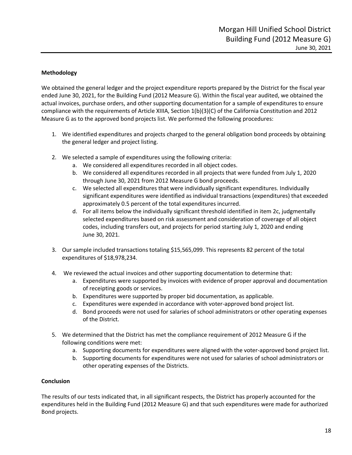# <span id="page-22-0"></span>**Methodology**

We obtained the general ledger and the project expenditure reports prepared by the District for the fiscal year ended June 30, 2021, for the Building Fund (2012 Measure G). Within the fiscal year audited, we obtained the actual invoices, purchase orders, and other supporting documentation for a sample of expenditures to ensure compliance with the requirements of Article XIIIA, Section 1(b)(3)(C) of the California Constitution and 2012 Measure G as to the approved bond projects list. We performed the following procedures:

- 1. We identified expenditures and projects charged to the general obligation bond proceeds by obtaining the general ledger and project listing.
- 2. We selected a sample of expenditures using the following criteria:
	- a. We considered all expenditures recorded in all object codes.
	- b. We considered all expenditures recorded in all projects that were funded from July 1, 2020 through June 30, 2021 from 2012 Measure G bond proceeds.
	- c. We selected all expenditures that were individually significant expenditures. Individually significant expenditures were identified as individual transactions (expenditures) that exceeded approximately 0.5 percent of the total expenditures incurred.
	- d. For all items below the individually significant threshold identified in item 2c, judgmentally selected expenditures based on risk assessment and consideration of coverage of all object codes, including transfers out, and projects for period starting July 1, 2020 and ending June 30, 2021.
- 3. Our sample included transactions totaling \$15,565,099. This represents 82 percent of the total expenditures of \$18,978,234.
- 4. We reviewed the actual invoices and other supporting documentation to determine that:
	- a. Expenditures were supported by invoices with evidence of proper approval and documentation of receipting goods or services.
	- b. Expenditures were supported by proper bid documentation, as applicable.
	- c. Expenditures were expended in accordance with voter‐approved bond project list.
	- d. Bond proceeds were not used for salaries of school administrators or other operating expenses of the District.
- 5. We determined that the District has met the compliance requirement of 2012 Measure G if the following conditions were met:
	- a. Supporting documents for expenditures were aligned with the voter-approved bond project list.
	- b. Supporting documents for expenditures were not used for salaries of school administrators or other operating expenses of the Districts.

### <span id="page-22-1"></span>**Conclusion**

The results of our tests indicated that, in all significant respects, the District has properly accounted for the expenditures held in the Building Fund (2012 Measure G) and that such expenditures were made for authorized Bond projects.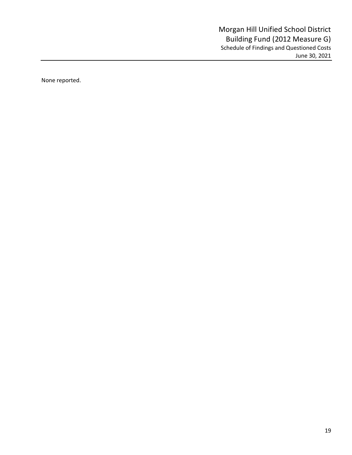<span id="page-23-1"></span><span id="page-23-0"></span>None reported.